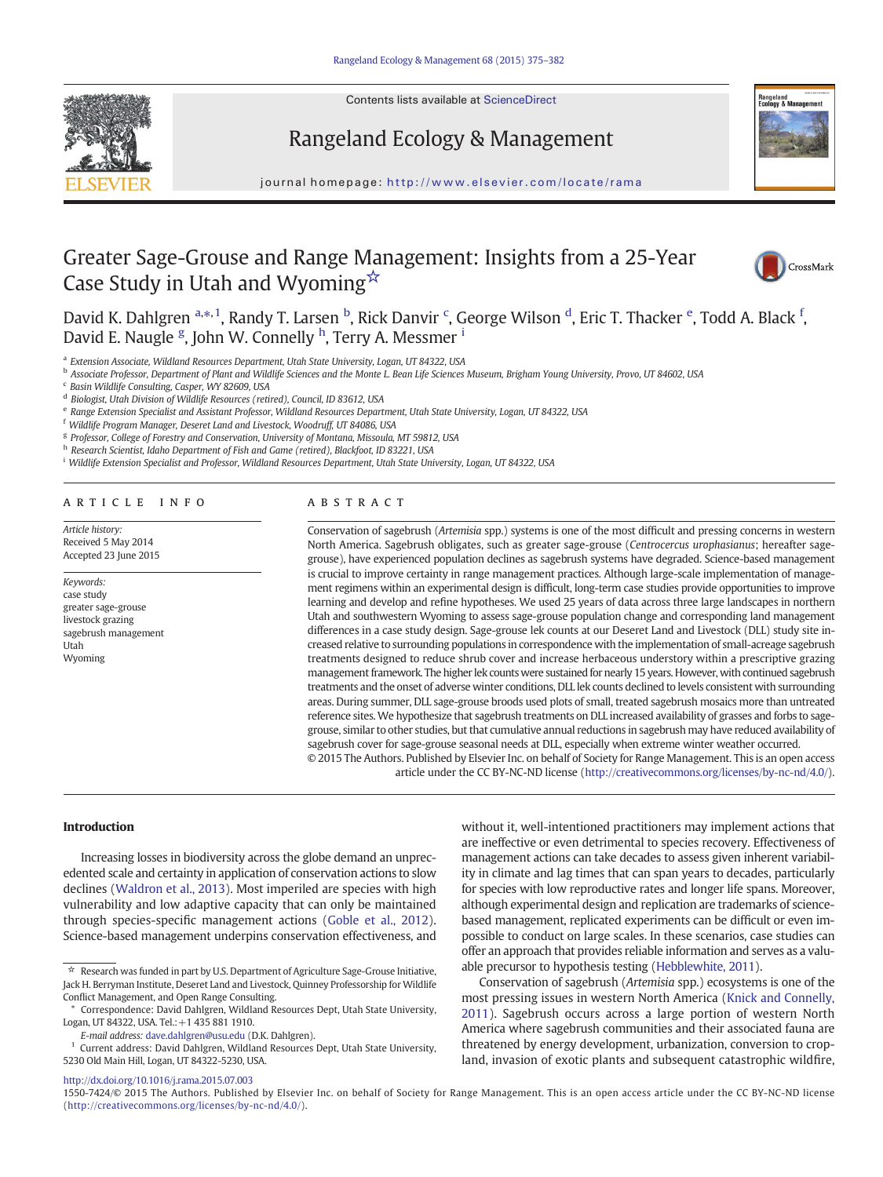

Contents lists available at ScienceDirect

# Rangeland Ecology & Management



journal homepage: http://www.elsevier.com/locate/rama

# Greater Sage-Grouse and Range Management: Insights from a 25-Year Case Study in Utah and Wyoming☆



David K. Dahlgren <sup>a,\*,1</sup>, Randy T. Larsen <sup>b</sup>, Rick Danvir <sup>c</sup>, George Wilson <sup>d</sup>, Eric T. Thacker <sup>e</sup>, Todd A. Black <sup>f</sup>, David E. Naugle <sup>g</sup>, John W. Connelly <sup>h</sup>, Terry A. Messmer <sup>i</sup>

<sup>a</sup> Extension Associate, Wildland Resources Department, Utah State University, Logan, UT 84322, USA

<sup>b</sup> Associate Professor, Department of Plant and Wildlife Sciences and the Monte L. Bean Life Sciences Museum, Brigham Young University, Provo, UT 84602, USA

<sup>c</sup> Basin Wildlife Consulting, Casper, WY 82609, USA

<sup>d</sup> Biologist, Utah Division of Wildlife Resources (retired), Council, ID 83612, USA

<sup>e</sup> Range Extension Specialist and Assistant Professor, Wildland Resources Department, Utah State University, Logan, UT 84322, USA

<sup>f</sup> Wildlife Program Manager, Deseret Land and Livestock, Woodruff, UT 84086, USA

<sup>g</sup> Professor, College of Forestry and Conservation, University of Montana, Missoula, MT 59812, USA

h Research Scientist, Idaho Department of Fish and Game (retired), Blackfoot, ID 83221, USA

<sup>i</sup> Wildlife Extension Specialist and Professor, Wildland Resources Department, Utah State University, Logan, UT 84322, USA

#### article info abstract

Article history: Received 5 May 2014 Accepted 23 June 2015

#### Keywords: case study greater sage-grouse livestock grazing sagebrush management Utah Wyoming

Conservation of sagebrush (Artemisia spp.) systems is one of the most difficult and pressing concerns in western North America. Sagebrush obligates, such as greater sage-grouse (Centrocercus urophasianus; hereafter sagegrouse), have experienced population declines as sagebrush systems have degraded. Science-based management is crucial to improve certainty in range management practices. Although large-scale implementation of management regimens within an experimental design is difficult, long-term case studies provide opportunities to improve learning and develop and refine hypotheses. We used 25 years of data across three large landscapes in northern Utah and southwestern Wyoming to assess sage-grouse population change and corresponding land management differences in a case study design. Sage-grouse lek counts at our Deseret Land and Livestock (DLL) study site increased relative to surrounding populations in correspondence with the implementation of small-acreage sagebrush treatments designed to reduce shrub cover and increase herbaceous understory within a prescriptive grazing management framework. The higher lek counts were sustained for nearly 15 years. However, with continued sagebrush treatments and the onset of adverse winter conditions, DLL lek counts declined to levels consistent with surrounding areas. During summer, DLL sage-grouse broods used plots of small, treated sagebrush mosaics more than untreated reference sites. We hypothesize that sagebrush treatments on DLL increased availability of grasses and forbs to sagegrouse, similar to other studies, but that cumulative annual reductions in sagebrush may have reduced availability of sagebrush cover for sage-grouse seasonal needs at DLL, especially when extreme winter weather occurred. © 2015 The Authors. Published by Elsevier Inc. on behalf of Society for Range Management. This is an open access

article under the CC BY-NC-ND license (http://creativecommons.org/licenses/by-nc-nd/4.0/).

Introduction

Increasing losses in biodiversity across the globe demand an unprecedented scale and certainty in application of conservation actions to slow declines ([Waldron et al., 2013](#page-7-0)). Most imperiled are species with high vulnerability and low adaptive capacity that can only be maintained through species-specific management actions [\(Goble et al., 2012](#page-6-0)). Science-based management underpins conservation effectiveness, and

E-mail address: [dave.dahlgren@usu.edu](mailto:dave.dahlgren@usu.edu) (D.K. Dahlgren).

without it, well-intentioned practitioners may implement actions that are ineffective or even detrimental to species recovery. Effectiveness of management actions can take decades to assess given inherent variability in climate and lag times that can span years to decades, particularly for species with low reproductive rates and longer life spans. Moreover, although experimental design and replication are trademarks of sciencebased management, replicated experiments can be difficult or even impossible to conduct on large scales. In these scenarios, case studies can offer an approach that provides reliable information and serves as a valuable precursor to hypothesis testing ([Hebblewhite, 2011\)](#page-6-0).

Conservation of sagebrush (Artemisia spp.) ecosystems is one of the most pressing issues in western North America ([Knick and Connelly,](#page-7-0) [2011\)](#page-7-0). Sagebrush occurs across a large portion of western North America where sagebrush communities and their associated fauna are threatened by energy development, urbanization, conversion to cropland, invasion of exotic plants and subsequent catastrophic wildfire,

<http://dx.doi.org/10.1016/j.rama.2015.07.003>

1550-7424/© 2015 The Authors. Published by Elsevier Inc. on behalf of Society for Range Management. This is an open access article under the CC BY-NC-ND license (http://creativecommons.org/licenses/by-nc-nd/4.0/).

 $\overrightarrow{A}$  Research was funded in part by U.S. Department of Agriculture Sage-Grouse Initiative, Jack H. Berryman Institute, Deseret Land and Livestock, Quinney Professorship for Wildlife Conflict Management, and Open Range Consulting.

<sup>⁎</sup> Correspondence: David Dahlgren, Wildland Resources Dept, Utah State University, Logan, UT 84322, USA. Tel.:+1 435 881 1910.

<sup>&</sup>lt;sup>1</sup> Current address: David Dahlgren, Wildland Resources Dept, Utah State University, 5230 Old Main Hill, Logan, UT 84322-5230, USA.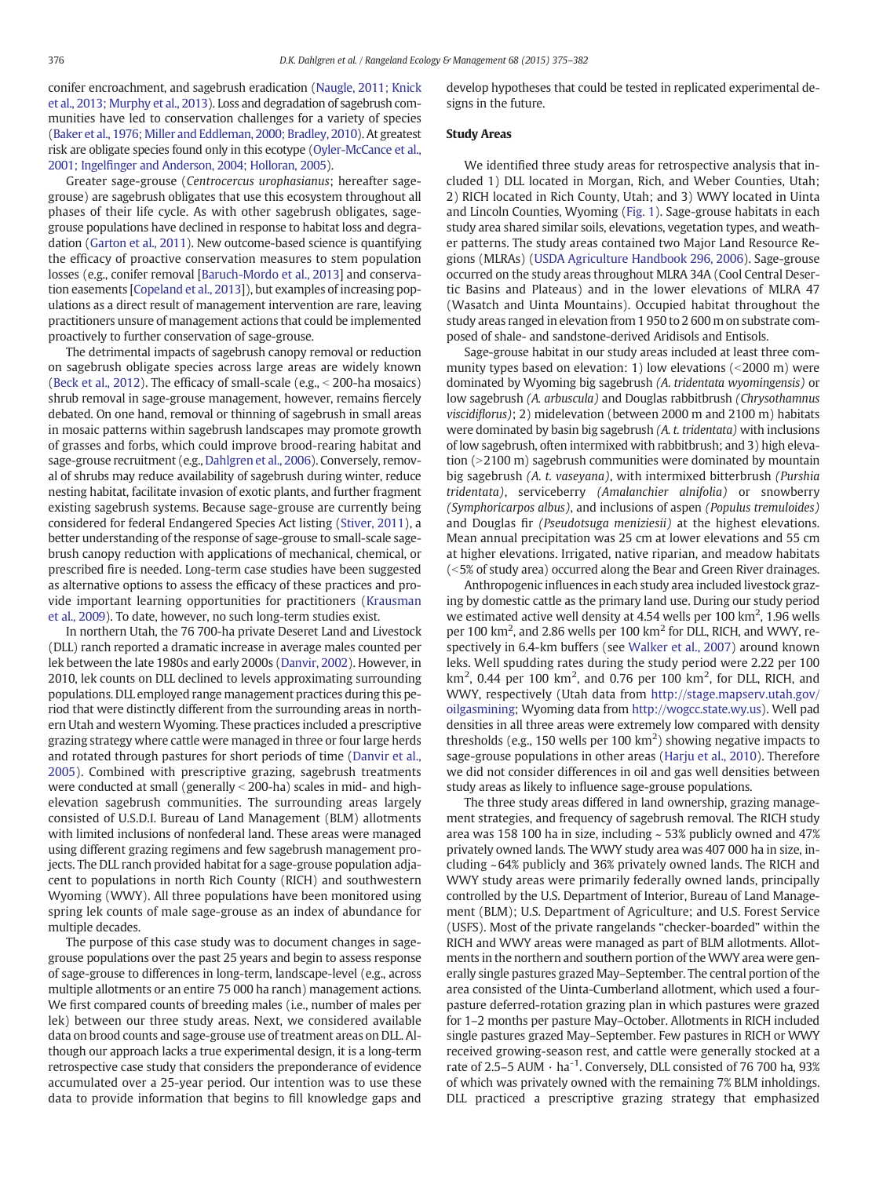conifer encroachment, and sagebrush eradication ([Naugle, 2011; Knick](#page-7-0) [et al., 2013; Murphy et al., 2013\)](#page-7-0). Loss and degradation of sagebrush communities have led to conservation challenges for a variety of species ([Baker et al., 1976; Miller and Eddleman, 2000; Bradley, 2010](#page-6-0)). At greatest risk are obligate species found only in this ecotype ([Oyler-McCance et al.,](#page-7-0) 2001; Ingelfi[nger and Anderson, 2004; Holloran, 2005](#page-7-0)).

Greater sage-grouse (Centrocercus urophasianus; hereafter sagegrouse) are sagebrush obligates that use this ecosystem throughout all phases of their life cycle. As with other sagebrush obligates, sagegrouse populations have declined in response to habitat loss and degradation ([Garton et al., 2011](#page-6-0)). New outcome-based science is quantifying the efficacy of proactive conservation measures to stem population losses (e.g., conifer removal [[Baruch-Mordo et al., 2013](#page-6-0)] and conservation easements [\[Copeland et al., 2013](#page-6-0)]), but examples of increasing populations as a direct result of management intervention are rare, leaving practitioners unsure of management actions that could be implemented proactively to further conservation of sage-grouse.

The detrimental impacts of sagebrush canopy removal or reduction on sagebrush obligate species across large areas are widely known ([Beck et al., 2012](#page-6-0)). The efficacy of small-scale (e.g.,  $<$  200-ha mosaics) shrub removal in sage-grouse management, however, remains fiercely debated. On one hand, removal or thinning of sagebrush in small areas in mosaic patterns within sagebrush landscapes may promote growth of grasses and forbs, which could improve brood-rearing habitat and sage-grouse recruitment (e.g., [Dahlgren et al., 2006\)](#page-6-0). Conversely, removal of shrubs may reduce availability of sagebrush during winter, reduce nesting habitat, facilitate invasion of exotic plants, and further fragment existing sagebrush systems. Because sage-grouse are currently being considered for federal Endangered Species Act listing [\(Stiver, 2011](#page-7-0)), a better understanding of the response of sage-grouse to small-scale sagebrush canopy reduction with applications of mechanical, chemical, or prescribed fire is needed. Long-term case studies have been suggested as alternative options to assess the efficacy of these practices and provide important learning opportunities for practitioners [\(Krausman](#page-7-0) [et al., 2009\)](#page-7-0). To date, however, no such long-term studies exist.

In northern Utah, the 76 700-ha private Deseret Land and Livestock (DLL) ranch reported a dramatic increase in average males counted per lek between the late 1980s and early 2000s [\(Danvir, 2002\)](#page-6-0). However, in 2010, lek counts on DLL declined to levels approximating surrounding populations. DLL employed range management practices during this period that were distinctly different from the surrounding areas in northern Utah and western Wyoming. These practices included a prescriptive grazing strategy where cattle were managed in three or four large herds and rotated through pastures for short periods of time [\(Danvir et al.,](#page-6-0) [2005\)](#page-6-0). Combined with prescriptive grazing, sagebrush treatments were conducted at small (generally  $<$  200-ha) scales in mid- and highelevation sagebrush communities. The surrounding areas largely consisted of U.S.D.I. Bureau of Land Management (BLM) allotments with limited inclusions of nonfederal land. These areas were managed using different grazing regimens and few sagebrush management projects. The DLL ranch provided habitat for a sage-grouse population adjacent to populations in north Rich County (RICH) and southwestern Wyoming (WWY). All three populations have been monitored using spring lek counts of male sage-grouse as an index of abundance for multiple decades.

The purpose of this case study was to document changes in sagegrouse populations over the past 25 years and begin to assess response of sage-grouse to differences in long-term, landscape-level (e.g., across multiple allotments or an entire 75 000 ha ranch) management actions. We first compared counts of breeding males (i.e., number of males per lek) between our three study areas. Next, we considered available data on brood counts and sage-grouse use of treatment areas on DLL. Although our approach lacks a true experimental design, it is a long-term retrospective case study that considers the preponderance of evidence accumulated over a 25-year period. Our intention was to use these data to provide information that begins to fill knowledge gaps and develop hypotheses that could be tested in replicated experimental designs in the future.

#### Study Areas

We identified three study areas for retrospective analysis that included 1) DLL located in Morgan, Rich, and Weber Counties, Utah; 2) RICH located in Rich County, Utah; and 3) WWY located in Uinta and Lincoln Counties, Wyoming [\(Fig. 1\)](#page-2-0). Sage-grouse habitats in each study area shared similar soils, elevations, vegetation types, and weather patterns. The study areas contained two Major Land Resource Regions (MLRAs) [\(USDA Agriculture Handbook 296, 2006](#page-7-0)). Sage-grouse occurred on the study areas throughout MLRA 34A (Cool Central Desertic Basins and Plateaus) and in the lower elevations of MLRA 47 (Wasatch and Uinta Mountains). Occupied habitat throughout the study areas ranged in elevation from 1 950 to 2 600 m on substrate composed of shale- and sandstone-derived Aridisols and Entisols.

Sage-grouse habitat in our study areas included at least three community types based on elevation: 1) low elevations  $\left($  < 2000 m) were dominated by Wyoming big sagebrush (A. tridentata wyomingensis) or low sagebrush (A. arbuscula) and Douglas rabbitbrush (Chrysothamnus viscidiflorus); 2) midelevation (between 2000 m and 2100 m) habitats were dominated by basin big sagebrush (A. t. tridentata) with inclusions of low sagebrush, often intermixed with rabbitbrush; and 3) high elevation  $(>2100 \text{ m})$  sagebrush communities were dominated by mountain big sagebrush (A. t. vaseyana), with intermixed bitterbrush (Purshia tridentata), serviceberry (Amalanchier alnifolia) or snowberry (Symphoricarpos albus), and inclusions of aspen (Populus tremuloides) and Douglas fir (Pseudotsuga meniziesii) at the highest elevations. Mean annual precipitation was 25 cm at lower elevations and 55 cm at higher elevations. Irrigated, native riparian, and meadow habitats (<5% of study area) occurred along the Bear and Green River drainages.

Anthropogenic influences in each study area included livestock grazing by domestic cattle as the primary land use. During our study period we estimated active well density at 4.54 wells per 100 km<sup>2</sup>, 1.96 wells per 100 km<sup>2</sup>, and 2.86 wells per 100 km<sup>2</sup> for DLL, RICH, and WWY, respectively in 6.4-km buffers (see [Walker et al., 2007\)](#page-7-0) around known leks. Well spudding rates during the study period were 2.22 per 100 km<sup>2</sup>, 0.44 per 100 km<sup>2</sup>, and 0.76 per 100 km<sup>2</sup>, for DLL, RICH, and WWY, respectively (Utah data from [http://stage.mapserv.utah.gov/](http://stage.mapserv.utah.gov/oilgasmining) [oilgasmining](http://stage.mapserv.utah.gov/oilgasmining); Wyoming data from [http://wogcc.state.wy.us\)](http://wogcc.state.wy.us). Well pad densities in all three areas were extremely low compared with density thresholds (e.g., 150 wells per 100  $\text{km}^2$ ) showing negative impacts to sage-grouse populations in other areas ([Harju et al., 2010\)](#page-6-0). Therefore we did not consider differences in oil and gas well densities between study areas as likely to influence sage-grouse populations.

The three study areas differed in land ownership, grazing management strategies, and frequency of sagebrush removal. The RICH study area was 158 100 ha in size, including ~ 53% publicly owned and 47% privately owned lands. The WWY study area was 407 000 ha in size, including ~64% publicly and 36% privately owned lands. The RICH and WWY study areas were primarily federally owned lands, principally controlled by the U.S. Department of Interior, Bureau of Land Management (BLM); U.S. Department of Agriculture; and U.S. Forest Service (USFS). Most of the private rangelands "checker-boarded" within the RICH and WWY areas were managed as part of BLM allotments. Allotments in the northern and southern portion of the WWY area were generally single pastures grazed May–September. The central portion of the area consisted of the Uinta-Cumberland allotment, which used a fourpasture deferred-rotation grazing plan in which pastures were grazed for 1–2 months per pasture May–October. Allotments in RICH included single pastures grazed May–September. Few pastures in RICH or WWY received growing-season rest, and cattle were generally stocked at a rate of 2.5–5 AUM  $\cdot$  ha<sup>-1</sup>. Conversely, DLL consisted of 76 700 ha, 93% of which was privately owned with the remaining 7% BLM inholdings. DLL practiced a prescriptive grazing strategy that emphasized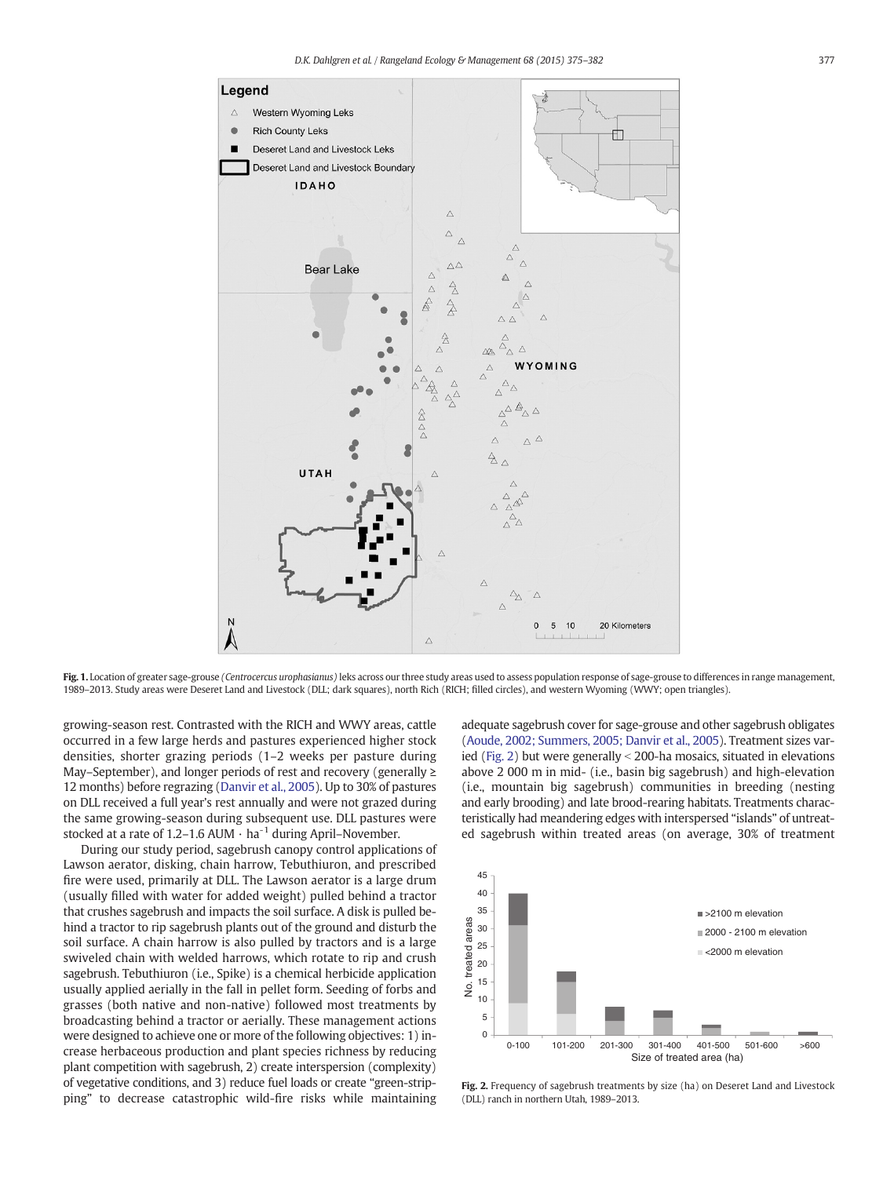<span id="page-2-0"></span>

Fig. 1. Location of greater sage-grouse *(Centrocercus urophasianus*) leks across our three study areas used to assess population response of sage-grouse to differences in range management, 1989–2013. Study areas were Deseret Land and Livestock (DLL; dark squares), north Rich (RICH; filled circles), and western Wyoming (WWY; open triangles).

growing-season rest. Contrasted with the RICH and WWY areas, cattle occurred in a few large herds and pastures experienced higher stock densities, shorter grazing periods (1–2 weeks per pasture during May–September), and longer periods of rest and recovery (generally ≥ 12 months) before regrazing [\(Danvir et al., 2005\)](#page-6-0). Up to 30% of pastures on DLL received a full year's rest annually and were not grazed during the same growing-season during subsequent use. DLL pastures were stocked at a rate of 1.2-1.6 AUM  $\cdot$  ha<sup>-1</sup> during April-November.

During our study period, sagebrush canopy control applications of Lawson aerator, disking, chain harrow, Tebuthiuron, and prescribed fire were used, primarily at DLL. The Lawson aerator is a large drum (usually filled with water for added weight) pulled behind a tractor that crushes sagebrush and impacts the soil surface. A disk is pulled behind a tractor to rip sagebrush plants out of the ground and disturb the soil surface. A chain harrow is also pulled by tractors and is a large swiveled chain with welded harrows, which rotate to rip and crush sagebrush. Tebuthiuron (i.e., Spike) is a chemical herbicide application usually applied aerially in the fall in pellet form. Seeding of forbs and grasses (both native and non-native) followed most treatments by broadcasting behind a tractor or aerially. These management actions were designed to achieve one or more of the following objectives: 1) increase herbaceous production and plant species richness by reducing plant competition with sagebrush, 2) create interspersion (complexity) of vegetative conditions, and 3) reduce fuel loads or create "green-stripping" to decrease catastrophic wild-fire risks while maintaining

adequate sagebrush cover for sage-grouse and other sagebrush obligates [\(Aoude, 2002; Summers, 2005; Danvir et al., 2005\)](#page-6-0). Treatment sizes varied (Fig. 2) but were generally  $\le$  200-ha mosaics, situated in elevations above 2 000 m in mid- (i.e., basin big sagebrush) and high-elevation (i.e., mountain big sagebrush) communities in breeding (nesting and early brooding) and late brood-rearing habitats. Treatments characteristically had meandering edges with interspersed "islands" of untreated sagebrush within treated areas (on average, 30% of treatment



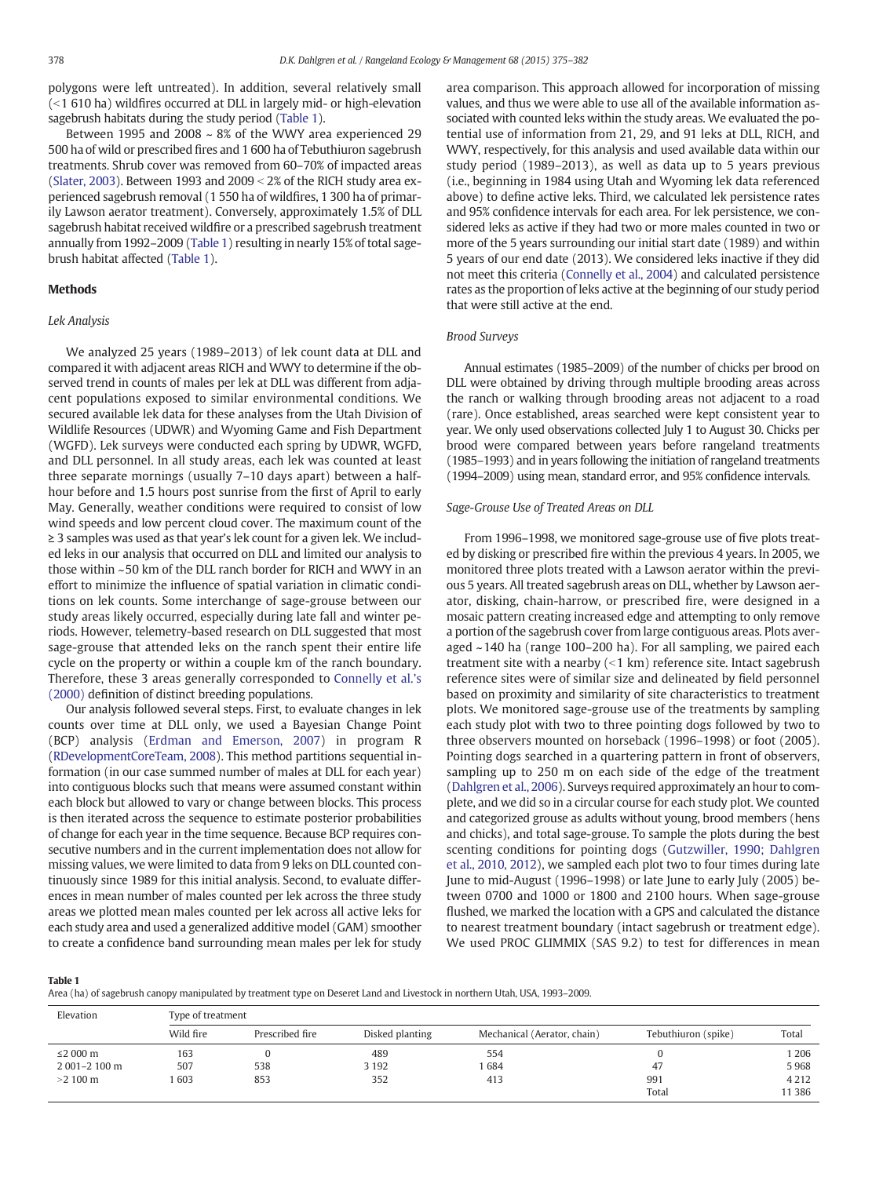polygons were left untreated). In addition, several relatively small  $($  <1 610 ha) wildfires occurred at DLL in largely mid- or high-elevation sagebrush habitats during the study period (Table 1).

Between 1995 and 2008  $\sim$  8% of the WWY area experienced 29 500 ha of wild or prescribed fires and 1 600 ha of Tebuthiuron sagebrush treatments. Shrub cover was removed from 60–70% of impacted areas ([Slater, 2003\)](#page-7-0). Between 1993 and  $2009 < 2\%$  of the RICH study area experienced sagebrush removal (1 550 ha of wildfires, 1 300 ha of primarily Lawson aerator treatment). Conversely, approximately 1.5% of DLL sagebrush habitat received wildfire or a prescribed sagebrush treatment annually from 1992–2009 (Table 1) resulting in nearly 15% of total sagebrush habitat affected (Table 1).

#### Methods

#### Lek Analysis

We analyzed 25 years (1989–2013) of lek count data at DLL and compared it with adjacent areas RICH and WWY to determine if the observed trend in counts of males per lek at DLL was different from adjacent populations exposed to similar environmental conditions. We secured available lek data for these analyses from the Utah Division of Wildlife Resources (UDWR) and Wyoming Game and Fish Department (WGFD). Lek surveys were conducted each spring by UDWR, WGFD, and DLL personnel. In all study areas, each lek was counted at least three separate mornings (usually 7–10 days apart) between a halfhour before and 1.5 hours post sunrise from the first of April to early May. Generally, weather conditions were required to consist of low wind speeds and low percent cloud cover. The maximum count of the ≥ 3 samples was used as that year's lek count for a given lek. We included leks in our analysis that occurred on DLL and limited our analysis to those within ~50 km of the DLL ranch border for RICH and WWY in an effort to minimize the influence of spatial variation in climatic conditions on lek counts. Some interchange of sage-grouse between our study areas likely occurred, especially during late fall and winter periods. However, telemetry-based research on DLL suggested that most sage-grouse that attended leks on the ranch spent their entire life cycle on the property or within a couple km of the ranch boundary. Therefore, these 3 areas generally corresponded to [Connelly et al.](#page-6-0)'s [\(2000\)](#page-6-0) definition of distinct breeding populations.

Our analysis followed several steps. First, to evaluate changes in lek counts over time at DLL only, we used a Bayesian Change Point (BCP) analysis [\(Erdman and Emerson, 2007\)](#page-6-0) in program R ([RDevelopmentCoreTeam, 2008](#page-7-0)). This method partitions sequential information (in our case summed number of males at DLL for each year) into contiguous blocks such that means were assumed constant within each block but allowed to vary or change between blocks. This process is then iterated across the sequence to estimate posterior probabilities of change for each year in the time sequence. Because BCP requires consecutive numbers and in the current implementation does not allow for missing values, we were limited to data from 9 leks on DLL counted continuously since 1989 for this initial analysis. Second, to evaluate differences in mean number of males counted per lek across the three study areas we plotted mean males counted per lek across all active leks for each study area and used a generalized additive model (GAM) smoother to create a confidence band surrounding mean males per lek for study

area comparison. This approach allowed for incorporation of missing values, and thus we were able to use all of the available information associated with counted leks within the study areas. We evaluated the potential use of information from 21, 29, and 91 leks at DLL, RICH, and WWY, respectively, for this analysis and used available data within our study period (1989–2013), as well as data up to 5 years previous (i.e., beginning in 1984 using Utah and Wyoming lek data referenced above) to define active leks. Third, we calculated lek persistence rates and 95% confidence intervals for each area. For lek persistence, we considered leks as active if they had two or more males counted in two or more of the 5 years surrounding our initial start date (1989) and within 5 years of our end date (2013). We considered leks inactive if they did not meet this criteria ([Connelly et al., 2004\)](#page-6-0) and calculated persistence rates as the proportion of leks active at the beginning of our study period that were still active at the end.

#### Brood Surveys

Annual estimates (1985–2009) of the number of chicks per brood on DLL were obtained by driving through multiple brooding areas across the ranch or walking through brooding areas not adjacent to a road (rare). Once established, areas searched were kept consistent year to year. We only used observations collected July 1 to August 30. Chicks per brood were compared between years before rangeland treatments (1985–1993) and in years following the initiation of rangeland treatments (1994–2009) using mean, standard error, and 95% confidence intervals.

#### Sage-Grouse Use of Treated Areas on DLL

From 1996–1998, we monitored sage-grouse use of five plots treated by disking or prescribed fire within the previous 4 years. In 2005, we monitored three plots treated with a Lawson aerator within the previous 5 years. All treated sagebrush areas on DLL, whether by Lawson aerator, disking, chain-harrow, or prescribed fire, were designed in a mosaic pattern creating increased edge and attempting to only remove a portion of the sagebrush cover from large contiguous areas. Plots averaged ~140 ha (range 100–200 ha). For all sampling, we paired each treatment site with a nearby  $(< 1 \text{ km})$  reference site. Intact sagebrush reference sites were of similar size and delineated by field personnel based on proximity and similarity of site characteristics to treatment plots. We monitored sage-grouse use of the treatments by sampling each study plot with two to three pointing dogs followed by two to three observers mounted on horseback (1996–1998) or foot (2005). Pointing dogs searched in a quartering pattern in front of observers, sampling up to 250 m on each side of the edge of the treatment ([Dahlgren et al., 2006](#page-6-0)). Surveys required approximately an hour to complete, and we did so in a circular course for each study plot. We counted and categorized grouse as adults without young, brood members (hens and chicks), and total sage-grouse. To sample the plots during the best scenting conditions for pointing dogs [\(Gutzwiller, 1990; Dahlgren](#page-6-0) [et al., 2010, 2012](#page-6-0)), we sampled each plot two to four times during late June to mid-August (1996–1998) or late June to early July (2005) between 0700 and 1000 or 1800 and 2100 hours. When sage-grouse flushed, we marked the location with a GPS and calculated the distance to nearest treatment boundary (intact sagebrush or treatment edge). We used PROC GLIMMIX (SAS 9.2) to test for differences in mean

Table 1

Area (ha) of sagebrush canopy manipulated by treatment type on Deseret Land and Livestock in northern Utah, USA, 1993–2009.

| Elevation         | Type of treatment |                 |                 |                             |                     |         |  |  |
|-------------------|-------------------|-----------------|-----------------|-----------------------------|---------------------|---------|--|--|
|                   | Wild fire         | Prescribed fire | Disked planting | Mechanical (Aerator, chain) | Tebuthiuron (spike) | Total   |  |  |
| ≤2 000 $m$        | 163               |                 | 489             | 554                         |                     | 1 2 0 6 |  |  |
| 2 001-2 100 m     | 507               | 538             | 3 1 9 2         | 684                         | 47                  | 5968    |  |  |
| $>2100 \text{ m}$ | 603               | 853             | 352             | 413                         | 991                 | 4 2 1 2 |  |  |
|                   |                   |                 |                 |                             | Total               | 11 386  |  |  |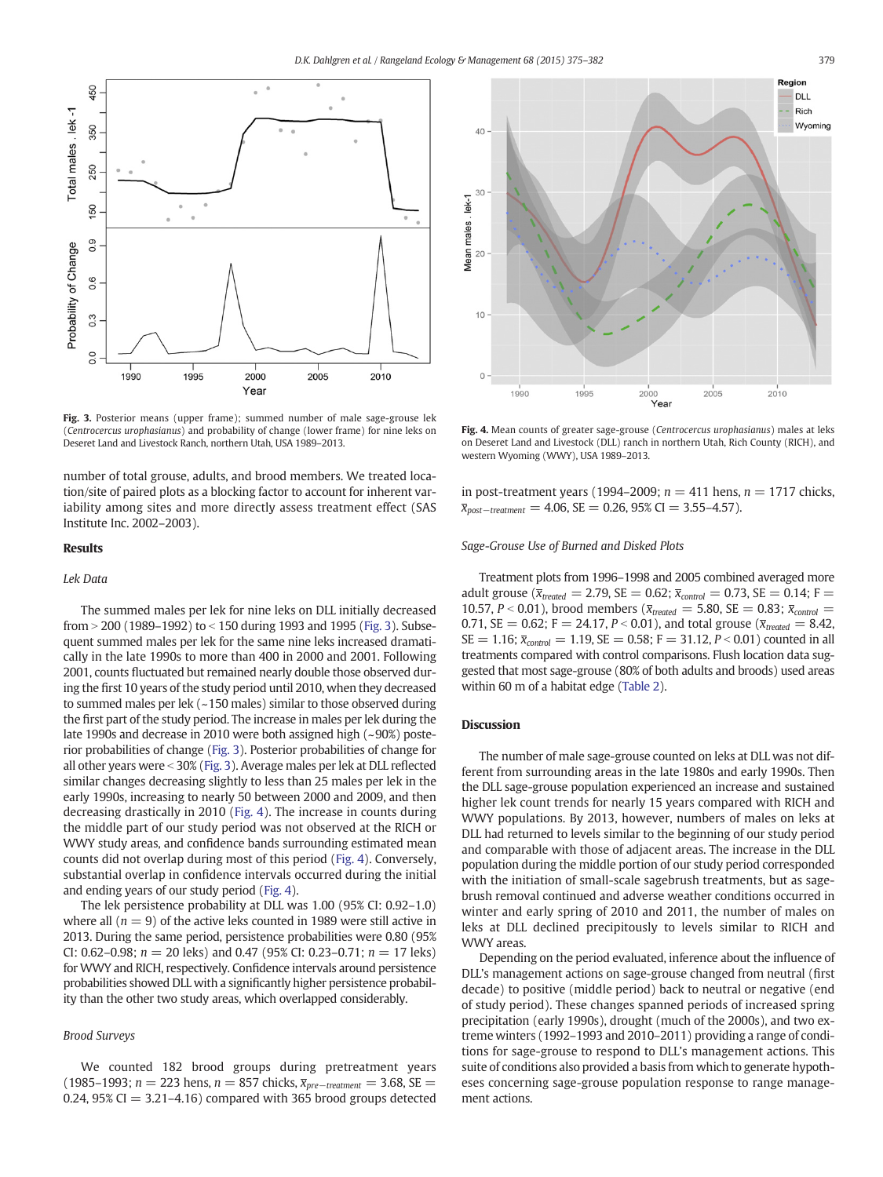

Fig. 3. Posterior means (upper frame); summed number of male sage-grouse lek (Centrocercus urophasianus) and probability of change (lower frame) for nine leks on Deseret Land and Livestock Ranch, northern Utah, USA 1989–2013.

number of total grouse, adults, and brood members. We treated location/site of paired plots as a blocking factor to account for inherent variability among sites and more directly assess treatment effect (SAS Institute Inc. 2002–2003).

#### Results

#### Lek Data

The summed males per lek for nine leks on DLL initially decreased from  $>$  200 (1989–1992) to  $<$  150 during 1993 and 1995 (Fig. 3). Subsequent summed males per lek for the same nine leks increased dramatically in the late 1990s to more than 400 in 2000 and 2001. Following 2001, counts fluctuated but remained nearly double those observed during the first 10 years of the study period until 2010, when they decreased to summed males per lek (~150 males) similar to those observed during the first part of the study period. The increase in males per lek during the late 1990s and decrease in 2010 were both assigned high (~90%) posterior probabilities of change (Fig. 3). Posterior probabilities of change for all other years were < 30% (Fig. 3). Average males per lek at DLL reflected similar changes decreasing slightly to less than 25 males per lek in the early 1990s, increasing to nearly 50 between 2000 and 2009, and then decreasing drastically in 2010 (Fig. 4). The increase in counts during the middle part of our study period was not observed at the RICH or WWY study areas, and confidence bands surrounding estimated mean counts did not overlap during most of this period (Fig. 4). Conversely, substantial overlap in confidence intervals occurred during the initial and ending years of our study period (Fig. 4).

The lek persistence probability at DLL was 1.00 (95% CI: 0.92–1.0) where all  $(n = 9)$  of the active leks counted in 1989 were still active in 2013. During the same period, persistence probabilities were 0.80 (95% CI: 0.62–0.98;  $n = 20$  leks) and 0.47 (95% CI: 0.23–0.71;  $n = 17$  leks) for WWY and RICH, respectively. Confidence intervals around persistence probabilities showed DLL with a significantly higher persistence probability than the other two study areas, which overlapped considerably.

#### Brood Surveys

We counted 182 brood groups during pretreatment years (1985–1993; n = 223 hens, n = 857 chicks,  $\bar{x}_{pre-treatment}$  = 3.68, SE = 0.24, 95% CI  $=$  3.21–4.16) compared with 365 brood groups detected



Fig. 4. Mean counts of greater sage-grouse (Centrocercus urophasianus) males at leks on Deseret Land and Livestock (DLL) ranch in northern Utah, Rich County (RICH), and western Wyoming (WWY), USA 1989–2013.

in post-treatment years (1994–2009;  $n = 411$  hens,  $n = 1717$  chicks,  $\bar{x}_{post-treatment} = 4.06$ , SE = 0.26, 95% CI = 3.55-4.57).

#### Sage-Grouse Use of Burned and Disked Plots

Treatment plots from 1996–1998 and 2005 combined averaged more adult grouse ( $\bar{x}_{treated} = 2.79$ , SE = 0.62;  $\bar{x}_{control} = 0.73$ , SE = 0.14; F = 10.57, P < 0.01), brood members ( $\bar{x}_{treated} = 5.80$ , SE = 0.83;  $\bar{x}_{control}$  = 0.71, SE = 0.62; F = 24.17, P < 0.01), and total grouse ( $\bar{x}_{treated} = 8.42$ ,  $SE = 1.16$ ;  $\bar{x}_{control} = 1.19$ ,  $SE = 0.58$ ;  $F = 31.12$ ,  $P < 0.01$ ) counted in all treatments compared with control comparisons. Flush location data suggested that most sage-grouse (80% of both adults and broods) used areas within 60 m of a habitat edge ([Table 2\)](#page-5-0).

### **Discussion**

The number of male sage-grouse counted on leks at DLL was not different from surrounding areas in the late 1980s and early 1990s. Then the DLL sage-grouse population experienced an increase and sustained higher lek count trends for nearly 15 years compared with RICH and WWY populations. By 2013, however, numbers of males on leks at DLL had returned to levels similar to the beginning of our study period and comparable with those of adjacent areas. The increase in the DLL population during the middle portion of our study period corresponded with the initiation of small-scale sagebrush treatments, but as sagebrush removal continued and adverse weather conditions occurred in winter and early spring of 2010 and 2011, the number of males on leks at DLL declined precipitously to levels similar to RICH and WWY areas.

Depending on the period evaluated, inference about the influence of DLL's management actions on sage-grouse changed from neutral (first decade) to positive (middle period) back to neutral or negative (end of study period). These changes spanned periods of increased spring precipitation (early 1990s), drought (much of the 2000s), and two extreme winters (1992–1993 and 2010–2011) providing a range of conditions for sage-grouse to respond to DLL's management actions. This suite of conditions also provided a basis from which to generate hypotheses concerning sage-grouse population response to range management actions.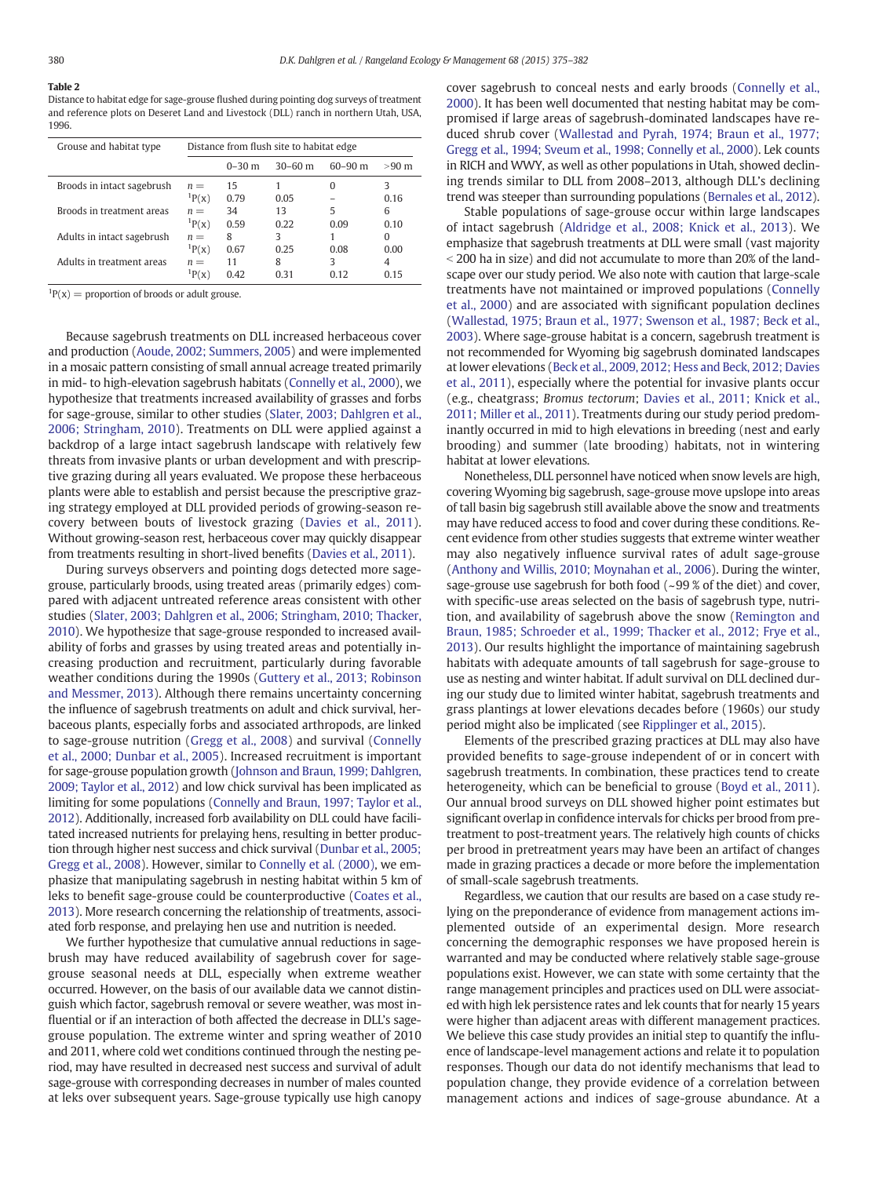## <span id="page-5-0"></span>Table 2

Distance to habitat edge for sage-grouse flushed during pointing dog surveys of treatment and reference plots on Deseret Land and Livestock (DLL) ranch in northern Utah, USA, 1996.

| Grouse and habitat type    | Distance from flush site to habitat edge |            |           |             |                 |  |  |
|----------------------------|------------------------------------------|------------|-----------|-------------|-----------------|--|--|
|                            |                                          | $0 - 30$ m | $30-60$ m | $60 - 90$ m | $>90 \text{ m}$ |  |  |
| Broods in intact sagebrush | $n =$<br>${}^{1}P(x)$                    | 15<br>0.79 | 0.05      | 0           | 3<br>0.16       |  |  |
| Broods in treatment areas  | $n =$                                    | 34         | 13        | 5           | 6               |  |  |
| Adults in intact sagebrush | ${}^{1}P(x)$<br>$n =$                    | 0.59<br>8  | 0.22<br>3 | 0.09        | 0.10<br>0       |  |  |
|                            | ${}^{1}P(x)$                             | 0.67       | 0.25      | 0.08        | 0.00            |  |  |
| Adults in treatment areas  | $n =$<br>$\rm P(X)$                      | 11<br>0.42 | 8<br>0 31 | 3<br>0.12   | 4<br>0.15       |  |  |

 ${}^{1}P(x)$  = proportion of broods or adult grouse.

Because sagebrush treatments on DLL increased herbaceous cover and production [\(Aoude, 2002; Summers, 2005\)](#page-6-0) and were implemented in a mosaic pattern consisting of small annual acreage treated primarily in mid- to high-elevation sagebrush habitats [\(Connelly et al., 2000\)](#page-6-0), we hypothesize that treatments increased availability of grasses and forbs for sage-grouse, similar to other studies [\(Slater, 2003; Dahlgren et al.,](#page-7-0) [2006; Stringham, 2010\)](#page-7-0). Treatments on DLL were applied against a backdrop of a large intact sagebrush landscape with relatively few threats from invasive plants or urban development and with prescriptive grazing during all years evaluated. We propose these herbaceous plants were able to establish and persist because the prescriptive grazing strategy employed at DLL provided periods of growing-season recovery between bouts of livestock grazing [\(Davies et al., 2011](#page-6-0)). Without growing-season rest, herbaceous cover may quickly disappear from treatments resulting in short-lived benefits [\(Davies et al., 2011](#page-6-0)).

During surveys observers and pointing dogs detected more sagegrouse, particularly broods, using treated areas (primarily edges) compared with adjacent untreated reference areas consistent with other studies [\(Slater, 2003; Dahlgren et al., 2006; Stringham, 2010; Thacker,](#page-7-0) [2010](#page-7-0)). We hypothesize that sage-grouse responded to increased availability of forbs and grasses by using treated areas and potentially increasing production and recruitment, particularly during favorable weather conditions during the 1990s [\(Guttery et al., 2013; Robinson](#page-6-0) [and Messmer, 2013](#page-6-0)). Although there remains uncertainty concerning the influence of sagebrush treatments on adult and chick survival, herbaceous plants, especially forbs and associated arthropods, are linked to sage-grouse nutrition [\(Gregg et al., 2008\)](#page-6-0) and survival [\(Connelly](#page-6-0) [et al., 2000; Dunbar et al., 2005](#page-6-0)). Increased recruitment is important for sage-grouse population growth [\(Johnson and Braun, 1999; Dahlgren,](#page-7-0) [2009; Taylor et al., 2012](#page-7-0)) and low chick survival has been implicated as limiting for some populations ([Connelly and Braun, 1997; Taylor et al.,](#page-6-0) [2012](#page-6-0)). Additionally, increased forb availability on DLL could have facilitated increased nutrients for prelaying hens, resulting in better production through higher nest success and chick survival [\(Dunbar et al., 2005;](#page-6-0) [Gregg et al., 2008\)](#page-6-0). However, similar to [Connelly et al. \(2000\)](#page-6-0), we emphasize that manipulating sagebrush in nesting habitat within 5 km of leks to benefit sage-grouse could be counterproductive [\(Coates et al.,](#page-6-0) [2013](#page-6-0)). More research concerning the relationship of treatments, associated forb response, and prelaying hen use and nutrition is needed.

We further hypothesize that cumulative annual reductions in sagebrush may have reduced availability of sagebrush cover for sagegrouse seasonal needs at DLL, especially when extreme weather occurred. However, on the basis of our available data we cannot distinguish which factor, sagebrush removal or severe weather, was most influential or if an interaction of both affected the decrease in DLL's sagegrouse population. The extreme winter and spring weather of 2010 and 2011, where cold wet conditions continued through the nesting period, may have resulted in decreased nest success and survival of adult sage-grouse with corresponding decreases in number of males counted at leks over subsequent years. Sage-grouse typically use high canopy

cover sagebrush to conceal nests and early broods [\(Connelly et al.,](#page-6-0) [2000](#page-6-0)). It has been well documented that nesting habitat may be compromised if large areas of sagebrush-dominated landscapes have reduced shrub cover [\(Wallestad and Pyrah, 1974; Braun et al., 1977;](#page-7-0) [Gregg et al., 1994; Sveum et al., 1998; Connelly et al., 2000\)](#page-7-0). Lek counts in RICH and WWY, as well as other populations in Utah, showed declining trends similar to DLL from 2008–2013, although DLL's declining trend was steeper than surrounding populations [\(Bernales et al., 2012](#page-6-0)).

Stable populations of sage-grouse occur within large landscapes of intact sagebrush ([Aldridge et al., 2008; Knick et al., 2013](#page-6-0)). We emphasize that sagebrush treatments at DLL were small (vast majority  $\le$  200 ha in size) and did not accumulate to more than 20% of the landscape over our study period. We also note with caution that large-scale treatments have not maintained or improved populations [\(Connelly](#page-6-0) [et al., 2000](#page-6-0)) and are associated with significant population declines ([Wallestad, 1975; Braun et al., 1977; Swenson et al., 1987; Beck et al.,](#page-7-0) [2003](#page-7-0)). Where sage-grouse habitat is a concern, sagebrush treatment is not recommended for Wyoming big sagebrush dominated landscapes at lower elevations ([Beck et al., 2009, 2012; Hess and Beck, 2012; Davies](#page-6-0) [et al., 2011\)](#page-6-0), especially where the potential for invasive plants occur (e.g., cheatgrass; Bromus tectorum; [Davies et al., 2011; Knick et al.,](#page-6-0) [2011; Miller et al., 2011](#page-6-0)). Treatments during our study period predominantly occurred in mid to high elevations in breeding (nest and early brooding) and summer (late brooding) habitats, not in wintering habitat at lower elevations.

Nonetheless, DLL personnel have noticed when snow levels are high, covering Wyoming big sagebrush, sage-grouse move upslope into areas of tall basin big sagebrush still available above the snow and treatments may have reduced access to food and cover during these conditions. Recent evidence from other studies suggests that extreme winter weather may also negatively influence survival rates of adult sage-grouse ([Anthony and Willis, 2010; Moynahan et al., 2006](#page-6-0)). During the winter, sage-grouse use sagebrush for both food  $(-99 %$  of the diet) and cover, with specific-use areas selected on the basis of sagebrush type, nutrition, and availability of sagebrush above the snow ([Remington and](#page-7-0) [Braun, 1985; Schroeder et al., 1999; Thacker et al., 2012; Frye et al.,](#page-7-0) [2013\)](#page-7-0). Our results highlight the importance of maintaining sagebrush habitats with adequate amounts of tall sagebrush for sage-grouse to use as nesting and winter habitat. If adult survival on DLL declined during our study due to limited winter habitat, sagebrush treatments and grass plantings at lower elevations decades before (1960s) our study period might also be implicated (see [Ripplinger et al., 2015\)](#page-7-0).

Elements of the prescribed grazing practices at DLL may also have provided benefits to sage-grouse independent of or in concert with sagebrush treatments. In combination, these practices tend to create heterogeneity, which can be beneficial to grouse ([Boyd et al., 2011](#page-6-0)). Our annual brood surveys on DLL showed higher point estimates but significant overlap in confidence intervals for chicks per brood from pretreatment to post-treatment years. The relatively high counts of chicks per brood in pretreatment years may have been an artifact of changes made in grazing practices a decade or more before the implementation of small-scale sagebrush treatments.

Regardless, we caution that our results are based on a case study relying on the preponderance of evidence from management actions implemented outside of an experimental design. More research concerning the demographic responses we have proposed herein is warranted and may be conducted where relatively stable sage-grouse populations exist. However, we can state with some certainty that the range management principles and practices used on DLL were associated with high lek persistence rates and lek counts that for nearly 15 years were higher than adjacent areas with different management practices. We believe this case study provides an initial step to quantify the influence of landscape-level management actions and relate it to population responses. Though our data do not identify mechanisms that lead to population change, they provide evidence of a correlation between management actions and indices of sage-grouse abundance. At a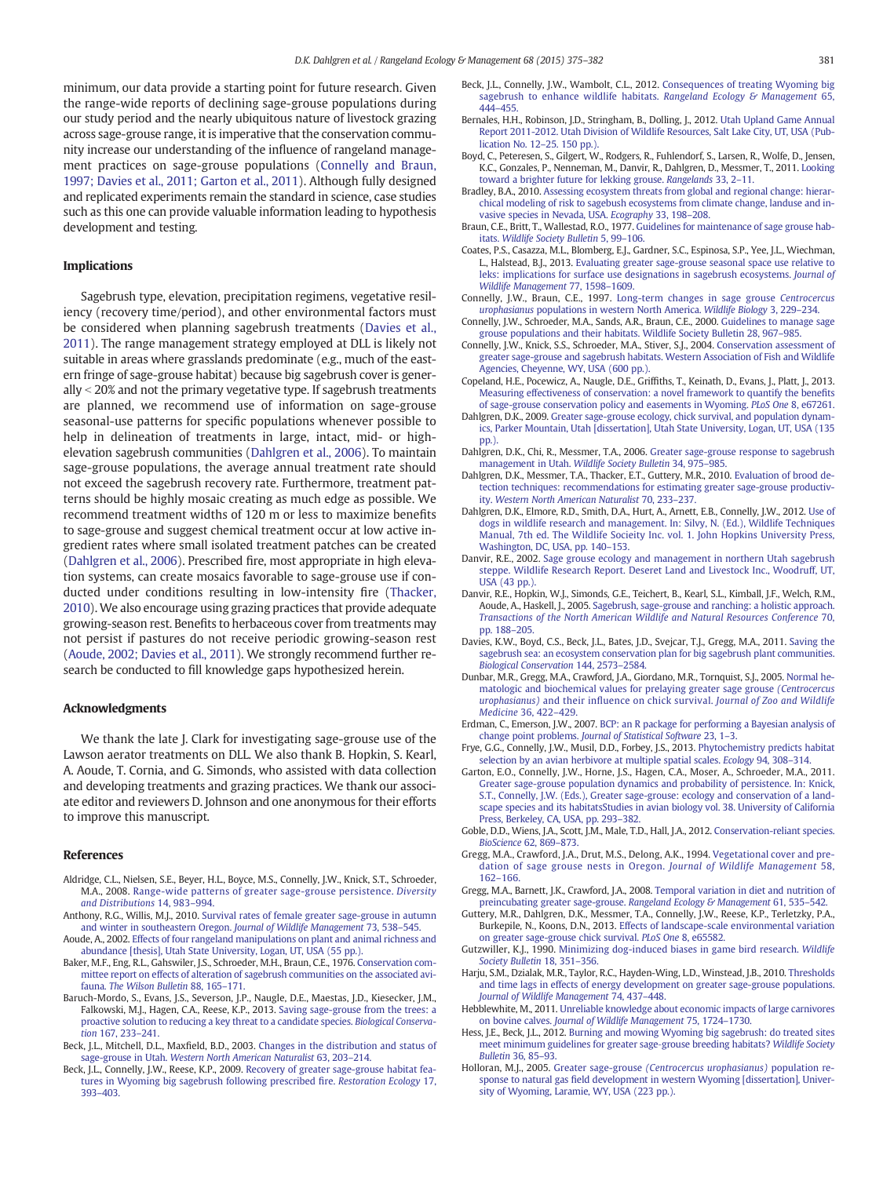<span id="page-6-0"></span>minimum, our data provide a starting point for future research. Given the range-wide reports of declining sage-grouse populations during our study period and the nearly ubiquitous nature of livestock grazing across sage-grouse range, it is imperative that the conservation community increase our understanding of the influence of rangeland management practices on sage-grouse populations (Connelly and Braun, 1997; Davies et al., 2011; Garton et al., 2011). Although fully designed and replicated experiments remain the standard in science, case studies such as this one can provide valuable information leading to hypothesis development and testing.

#### Implications

Sagebrush type, elevation, precipitation regimens, vegetative resiliency (recovery time/period), and other environmental factors must be considered when planning sagebrush treatments (Davies et al., 2011). The range management strategy employed at DLL is likely not suitable in areas where grasslands predominate (e.g., much of the eastern fringe of sage-grouse habitat) because big sagebrush cover is generally  $<$  20% and not the primary vegetative type. If sagebrush treatments are planned, we recommend use of information on sage-grouse seasonal-use patterns for specific populations whenever possible to help in delineation of treatments in large, intact, mid- or highelevation sagebrush communities (Dahlgren et al., 2006). To maintain sage-grouse populations, the average annual treatment rate should not exceed the sagebrush recovery rate. Furthermore, treatment patterns should be highly mosaic creating as much edge as possible. We recommend treatment widths of 120 m or less to maximize benefits to sage-grouse and suggest chemical treatment occur at low active ingredient rates where small isolated treatment patches can be created (Dahlgren et al., 2006). Prescribed fire, most appropriate in high elevation systems, can create mosaics favorable to sage-grouse use if conducted under conditions resulting in low-intensity fire ([Thacker,](#page-7-0) [2010](#page-7-0)). We also encourage using grazing practices that provide adequate growing-season rest. Benefits to herbaceous cover from treatments may not persist if pastures do not receive periodic growing-season rest (Aoude, 2002; Davies et al., 2011). We strongly recommend further research be conducted to fill knowledge gaps hypothesized herein.

#### Acknowledgments

We thank the late J. Clark for investigating sage-grouse use of the Lawson aerator treatments on DLL. We also thank B. Hopkin, S. Kearl, A. Aoude, T. Cornia, and G. Simonds, who assisted with data collection and developing treatments and grazing practices. We thank our associate editor and reviewers D. Johnson and one anonymous for their efforts to improve this manuscript.

#### References

- Aldridge, C.L., Nielsen, S.E., Beyer, H.L., Boyce, M.S., Connelly, J.W., Knick, S.T., Schroeder, M.A., 2008. [Range-wide patterns of greater sage-grouse persistence.](http://refhub.elsevier.com/S1550-7424(15)00097-4/rf0005) Diversity [and Distributions](http://refhub.elsevier.com/S1550-7424(15)00097-4/rf0005) 14, 983–994.
- Anthony, R.G., Willis, M.J., 2010. [Survival rates of female greater sage-grouse in autumn](http://refhub.elsevier.com/S1550-7424(15)00097-4/rf0010) [and winter in southeastern Oregon.](http://refhub.elsevier.com/S1550-7424(15)00097-4/rf0010) Journal of Wildlife Management 73, 538–545.
- Aoude, A., 2002. [Effects of four rangeland manipulations on plant and animal richness and](http://refhub.elsevier.com/S1550-7424(15)00097-4/rf0015) [abundance \[thesis\], Utah State University, Logan, UT, USA \(55 pp.\).](http://refhub.elsevier.com/S1550-7424(15)00097-4/rf0015)
- Baker, M.F., Eng, R.L., Gahswiler, J.S., Schroeder, M.H., Braun, C.E., 1976. [Conservation com](http://refhub.elsevier.com/S1550-7424(15)00097-4/rf0020)[mittee report on effects of alteration of sagebrush communities on the associated avi](http://refhub.elsevier.com/S1550-7424(15)00097-4/rf0020)fauna. [The Wilson Bulletin](http://refhub.elsevier.com/S1550-7424(15)00097-4/rf0020) 88, 165–171.
- Baruch-Mordo, S., Evans, J.S., Severson, J.P., Naugle, D.E., Maestas, J.D., Kiesecker, J.M., Falkowski, M.J., Hagen, C.A., Reese, K.P., 2013. [Saving sage-grouse from the trees: a](http://refhub.elsevier.com/S1550-7424(15)00097-4/rf0025) [proactive solution to reducing a key threat to a candidate species.](http://refhub.elsevier.com/S1550-7424(15)00097-4/rf0025) Biological Conservation [167, 233](http://refhub.elsevier.com/S1550-7424(15)00097-4/rf0025)–241.
- Beck, J.L., Mitchell, D.L., Maxfield, B.D., 2003. [Changes in the distribution and status of](http://refhub.elsevier.com/S1550-7424(15)00097-4/rf0030) sage-grouse in Utah. [Western North American Naturalist](http://refhub.elsevier.com/S1550-7424(15)00097-4/rf0030) 63, 203–214.
- Beck, J.L., Connelly, J.W., Reese, K.P., 2009. [Recovery of greater sage-grouse habitat fea](http://refhub.elsevier.com/S1550-7424(15)00097-4/rf0035)[tures in Wyoming big sagebrush following prescribed](http://refhub.elsevier.com/S1550-7424(15)00097-4/rf0035) fire. Restoration Ecology 17, [393](http://refhub.elsevier.com/S1550-7424(15)00097-4/rf0035)–403.
- Beck, J.L., Connelly, J.W., Wambolt, C.L., 2012. [Consequences of treating Wyoming big](http://refhub.elsevier.com/S1550-7424(15)00097-4/rf0040) [sagebrush to enhance wildlife habitats.](http://refhub.elsevier.com/S1550-7424(15)00097-4/rf0040) Rangeland Ecology & Management 65, [444](http://refhub.elsevier.com/S1550-7424(15)00097-4/rf0040)–455.
- Bernales, H.H., Robinson, J.D., Stringham, B., Dolling, J., 2012. [Utah Upland Game Annual](http://refhub.elsevier.com/S1550-7424(15)00097-4/rf0045) [Report 2011-2012. Utah Division of Wildlife Resources, Salt Lake City, UT, USA \(Pub](http://refhub.elsevier.com/S1550-7424(15)00097-4/rf0045)[lication No. 12](http://refhub.elsevier.com/S1550-7424(15)00097-4/rf0045)–25. 150 pp.).
- Boyd, C., Peteresen, S., Gilgert, W., Rodgers, R., Fuhlendorf, S., Larsen, R., Wolfe, D., Jensen, K.C., Gonzales, P., Nenneman, M., Danvir, R., Dahlgren, D., Messmer, T., 2011. [Looking](http://refhub.elsevier.com/S1550-7424(15)00097-4/rf0050) [toward a brighter future for lekking grouse.](http://refhub.elsevier.com/S1550-7424(15)00097-4/rf0050) Rangelands 33, 2–11.
- Bradley, B.A., 2010. [Assessing ecosystem threats from global and regional change: hierar](http://refhub.elsevier.com/S1550-7424(15)00097-4/rf0055)[chical modeling of risk to sagebush ecosystems from climate change, landuse and in](http://refhub.elsevier.com/S1550-7424(15)00097-4/rf0055)[vasive species in Nevada, USA.](http://refhub.elsevier.com/S1550-7424(15)00097-4/rf0055) Ecography 33, 198–208.
- Braun, C.E., Britt, T., Wallestad, R.O., 1977. [Guidelines for maintenance of sage grouse hab](http://refhub.elsevier.com/S1550-7424(15)00097-4/rf0060)itats. [Wildlife Society Bulletin](http://refhub.elsevier.com/S1550-7424(15)00097-4/rf0060) 5, 99–106.
- Coates, P.S., Casazza, M.L., Blomberg, E.J., Gardner, S.C., Espinosa, S.P., Yee, J.L., Wiechman, L., Halstead, B.J., 2013. [Evaluating greater sage-grouse seasonal space use relative to](http://refhub.elsevier.com/S1550-7424(15)00097-4/rf0065) [leks: implications for surface use designations in sagebrush ecosystems.](http://refhub.elsevier.com/S1550-7424(15)00097-4/rf0065) Journal of [Wildlife Management](http://refhub.elsevier.com/S1550-7424(15)00097-4/rf0065) 77, 1598–1609.
- Connelly, J.W., Braun, C.E., 1997. [Long-term changes in sage grouse](http://refhub.elsevier.com/S1550-7424(15)00097-4/rf0070) Centrocercus urophasianus [populations in western North America.](http://refhub.elsevier.com/S1550-7424(15)00097-4/rf0070) Wildlife Biology 3, 229–234.
- Connelly, J.W., Schroeder, M.A., Sands, A.R., Braun, C.E., 2000. [Guidelines to manage sage](http://refhub.elsevier.com/S1550-7424(15)00097-4/rf0075) [grouse populations and their habitats. Wildlife Society Bulletin 28, 967](http://refhub.elsevier.com/S1550-7424(15)00097-4/rf0075)–985.
- Connelly, J.W., Knick, S.S., Schroeder, M.A., Stiver, S.J., 2004. [Conservation assessment of](http://refhub.elsevier.com/S1550-7424(15)00097-4/rf0080) [greater sage-grouse and sagebrush habitats. Western Association of Fish and Wildlife](http://refhub.elsevier.com/S1550-7424(15)00097-4/rf0080) [Agencies, Cheyenne, WY, USA \(600 pp.\)](http://refhub.elsevier.com/S1550-7424(15)00097-4/rf0080).
- Copeland, H.E., Pocewicz, A., Naugle, D.E., Griffiths, T., Keinath, D., Evans, J., Platt, J., 2013. [Measuring effectiveness of conservation: a novel framework to quantify the bene](http://refhub.elsevier.com/S1550-7424(15)00097-4/rf0085)fits [of sage-grouse conservation policy and easements in Wyoming.](http://refhub.elsevier.com/S1550-7424(15)00097-4/rf0085) PLoS One 8, e67261.
- Dahlgren, D.K., 2009. [Greater sage-grouse ecology, chick survival, and population dynam](http://refhub.elsevier.com/S1550-7424(15)00097-4/rf0090)[ics, Parker Mountain, Utah \[dissertation\], Utah State University, Logan, UT, USA \(135](http://refhub.elsevier.com/S1550-7424(15)00097-4/rf0090) [pp.\).](http://refhub.elsevier.com/S1550-7424(15)00097-4/rf0090)
- Dahlgren, D.K., Chi, R., Messmer, T.A., 2006. [Greater sage-grouse response to sagebrush](http://refhub.elsevier.com/S1550-7424(15)00097-4/rf0095) management in Utah. [Wildlife Society Bulletin](http://refhub.elsevier.com/S1550-7424(15)00097-4/rf0095) 34, 975–985.
- Dahlgren, D.K., Messmer, T.A., Thacker, E.T., Guttery, M.R., 2010. [Evaluation of brood de](http://refhub.elsevier.com/S1550-7424(15)00097-4/rf0100)[tection techniques: recommendations for estimating greater sage-grouse productiv](http://refhub.elsevier.com/S1550-7424(15)00097-4/rf0100)ity. [Western North American Naturalist](http://refhub.elsevier.com/S1550-7424(15)00097-4/rf0100) 70, 233–237.
- Dahlgren, D.K., Elmore, R.D., Smith, D.A., Hurt, A., Arnett, E.B., Connelly, J.W., 2012. [Use of](http://refhub.elsevier.com/S1550-7424(15)00097-4/rf0105) [dogs in wildlife research and management. In: Silvy, N. \(Ed.\), Wildlife Techniques](http://refhub.elsevier.com/S1550-7424(15)00097-4/rf0105) [Manual, 7th ed. The Wildlife Socieity Inc. vol. 1. John Hopkins University Press,](http://refhub.elsevier.com/S1550-7424(15)00097-4/rf0105) [Washington, DC, USA, pp. 140](http://refhub.elsevier.com/S1550-7424(15)00097-4/rf0105)–153.
- Danvir, R.E., 2002. [Sage grouse ecology and management in northern Utah sagebrush](http://refhub.elsevier.com/S1550-7424(15)00097-4/rf0110) [steppe. Wildlife Research Report. Deseret Land and Livestock Inc., Woodruff, UT,](http://refhub.elsevier.com/S1550-7424(15)00097-4/rf0110) [USA \(43 pp.\)](http://refhub.elsevier.com/S1550-7424(15)00097-4/rf0110)
- Danvir, R.E., Hopkin, W.J., Simonds, G.E., Teichert, B., Kearl, S.L., Kimball, J.F., Welch, R.M., Aoude, A., Haskell, J., 2005. [Sagebrush, sage-grouse and ranching: a holistic approach.](http://refhub.elsevier.com/S1550-7424(15)00097-4/rf0115) [Transactions of the North American Wildlife and Natural Resources Conference](http://refhub.elsevier.com/S1550-7424(15)00097-4/rf0115) 70, [pp. 188](http://refhub.elsevier.com/S1550-7424(15)00097-4/rf0115)–205.
- Davies, K.W., Boyd, C.S., Beck, J.L., Bates, J.D., Svejcar, T.J., Gregg, M.A., 2011. [Saving the](http://refhub.elsevier.com/S1550-7424(15)00097-4/rf0120) [sagebrush sea: an ecosystem conservation plan for big sagebrush plant communities.](http://refhub.elsevier.com/S1550-7424(15)00097-4/rf0120) [Biological Conservation](http://refhub.elsevier.com/S1550-7424(15)00097-4/rf0120) 144, 2573–2584.
- Dunbar, M.R., Gregg, M.A., Crawford, J.A., Giordano, M.R., Tornquist, S.J., 2005. [Normal he](http://refhub.elsevier.com/S1550-7424(15)00097-4/rf0125)[matologic and biochemical values for prelaying greater sage grouse](http://refhub.elsevier.com/S1550-7424(15)00097-4/rf0125) (Centrocercus urophasianus) and their influence on chick survival. [Journal of Zoo and Wildlife](http://refhub.elsevier.com/S1550-7424(15)00097-4/rf0125) [Medicine](http://refhub.elsevier.com/S1550-7424(15)00097-4/rf0125) 36, 422–429.
- Erdman, C., Emerson, J.W., 2007. [BCP: an R package for performing a Bayesian analysis of](http://refhub.elsevier.com/S1550-7424(15)00097-4/rf0130) change point problems. [Journal of Statistical Software](http://refhub.elsevier.com/S1550-7424(15)00097-4/rf0130) 23, 1–3.
- Frye, G.G., Connelly, J.W., Musil, D.D., Forbey, J.S., 2013. [Phytochemistry predicts habitat](http://refhub.elsevier.com/S1550-7424(15)00097-4/rf0135) [selection by an avian herbivore at multiple spatial scales.](http://refhub.elsevier.com/S1550-7424(15)00097-4/rf0135) Ecology 94, 308–314.
- Garton, E.O., Connelly, J.W., Horne, J.S., Hagen, C.A., Moser, A., Schroeder, M.A., 2011. [Greater sage-grouse population dynamics and probability of persistence. In: Knick,](http://refhub.elsevier.com/S1550-7424(15)00097-4/rf0140) [S.T., Connelly, J.W. \(Eds.\), Greater sage-grouse: ecology and conservation of a land](http://refhub.elsevier.com/S1550-7424(15)00097-4/rf0140)[scape species and its habitatsStudies in avian biology vol. 38. University of California](http://refhub.elsevier.com/S1550-7424(15)00097-4/rf0140) [Press, Berkeley, CA, USA, pp. 293](http://refhub.elsevier.com/S1550-7424(15)00097-4/rf0140)–382.
- Goble, D.D., Wiens, J.A., Scott, J.M., Male, T.D., Hall, J.A., 2012. [Conservation-reliant species.](http://refhub.elsevier.com/S1550-7424(15)00097-4/rf0145) [BioScience](http://refhub.elsevier.com/S1550-7424(15)00097-4/rf0145) 62, 869–873.
- Gregg, M.A., Crawford, J.A., Drut, M.S., Delong, A.K., 1994. [Vegetational cover and pre](http://refhub.elsevier.com/S1550-7424(15)00097-4/rf0150)[dation of sage grouse nests in Oregon.](http://refhub.elsevier.com/S1550-7424(15)00097-4/rf0150) Journal of Wildlife Management 58, 162–[166.](http://refhub.elsevier.com/S1550-7424(15)00097-4/rf0150)
- Gregg, M.A., Barnett, J.K., Crawford, J.A., 2008. [Temporal variation in diet and nutrition of](http://refhub.elsevier.com/S1550-7424(15)00097-4/rf0155) [preincubating greater sage-grouse.](http://refhub.elsevier.com/S1550-7424(15)00097-4/rf0155) Rangeland Ecology & Management 61, 535-542.
- Guttery, M.R., Dahlgren, D.K., Messmer, T.A., Connelly, J.W., Reese, K.P., Terletzky, P.A., Burkepile, N., Koons, D.N., 2013. [Effects of landscape-scale environmental variation](http://refhub.elsevier.com/S1550-7424(15)00097-4/rf0160) [on greater sage-grouse chick survival.](http://refhub.elsevier.com/S1550-7424(15)00097-4/rf0160) PLoS One 8, e65582.
- Gutzwiller, K.J., 1990. [Minimizing dog-induced biases in game bird research.](http://refhub.elsevier.com/S1550-7424(15)00097-4/rf0165) Wildlife [Society Bulletin](http://refhub.elsevier.com/S1550-7424(15)00097-4/rf0165) 18, 351–356.
- Harju, S.M., Dzialak, M.R., Taylor, R.C., Hayden-Wing, L.D., Winstead, J.B., 2010. [Thresholds](http://refhub.elsevier.com/S1550-7424(15)00097-4/rf0170) [and time lags in effects of energy development on greater sage-grouse populations.](http://refhub.elsevier.com/S1550-7424(15)00097-4/rf0170) [Journal of Wildlife Management](http://refhub.elsevier.com/S1550-7424(15)00097-4/rf0170) 74, 437–448.
- Hebblewhite, M., 2011. [Unreliable knowledge about economic impacts of large carnivores](http://refhub.elsevier.com/S1550-7424(15)00097-4/rf0175) on bovine calves. [Journal of Wildlife Management](http://refhub.elsevier.com/S1550-7424(15)00097-4/rf0175) 75, 1724–1730.
- Hess, J.E., Beck, J.L., 2012. [Burning and mowing Wyoming big sagebrush: do treated sites](http://refhub.elsevier.com/S1550-7424(15)00097-4/rf0180) [meet minimum guidelines for greater sage](http://refhub.elsevier.com/S1550-7424(15)00097-4/rf0180)‐grouse breeding habitats? Wildlife Society [Bulletin](http://refhub.elsevier.com/S1550-7424(15)00097-4/rf0180) 36, 85–93.
- Holloran, M.J., 2005. Greater sage-grouse [\(Centrocercus urophasianus\)](http://refhub.elsevier.com/S1550-7424(15)00097-4/rf0185) population response to natural gas fi[eld development in western Wyoming \[dissertation\], Univer](http://refhub.elsevier.com/S1550-7424(15)00097-4/rf0185)[sity of Wyoming, Laramie, WY, USA \(223 pp.\).](http://refhub.elsevier.com/S1550-7424(15)00097-4/rf0185)